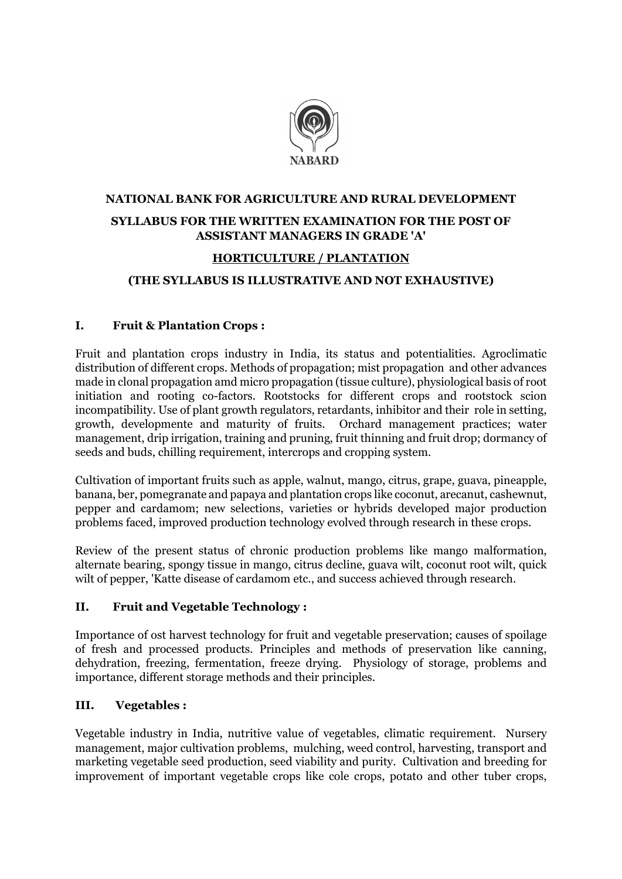

# NATIONAL BANK FOR AGRICULTURE AND RURAL DEVELOPMENT SYLLABUS FOR THE WRITTEN EXAMINATION FOR THE POST OF ASSISTANT MANAGERS IN GRADE 'A'

#### HORTICULTURE / PLANTATION

### (THE SYLLABUS IS ILLUSTRATIVE AND NOT EXHAUSTIVE)

#### I. Fruit & Plantation Crops :

Fruit and plantation crops industry in India, its status and potentialities. Agroclimatic distribution of different crops. Methods of propagation; mist propagation and other advances made in clonal propagation amd micro propagation (tissue culture), physiological basis of root initiation and rooting co-factors. Rootstocks for different crops and rootstock scion incompatibility. Use of plant growth regulators, retardants, inhibitor and their role in setting, growth, developmente and maturity of fruits. Orchard management practices; water management, drip irrigation, training and pruning, fruit thinning and fruit drop; dormancy of seeds and buds, chilling requirement, intercrops and cropping system.

Cultivation of important fruits such as apple, walnut, mango, citrus, grape, guava, pineapple, banana, ber, pomegranate and papaya and plantation crops like coconut, arecanut, cashewnut, pepper and cardamom; new selections, varieties or hybrids developed major production problems faced, improved production technology evolved through research in these crops.

Review of the present status of chronic production problems like mango malformation, alternate bearing, spongy tissue in mango, citrus decline, guava wilt, coconut root wilt, quick wilt of pepper, 'Katte disease of cardamom etc., and success achieved through research.

#### II. Fruit and Vegetable Technology :

Importance of ost harvest technology for fruit and vegetable preservation; causes of spoilage of fresh and processed products. Principles and methods of preservation like canning, dehydration, freezing, fermentation, freeze drying. Physiology of storage, problems and importance, different storage methods and their principles.

#### III. Vegetables :

Vegetable industry in India, nutritive value of vegetables, climatic requirement. Nursery management, major cultivation problems, mulching, weed control, harvesting, transport and marketing vegetable seed production, seed viability and purity. Cultivation and breeding for improvement of important vegetable crops like cole crops, potato and other tuber crops,